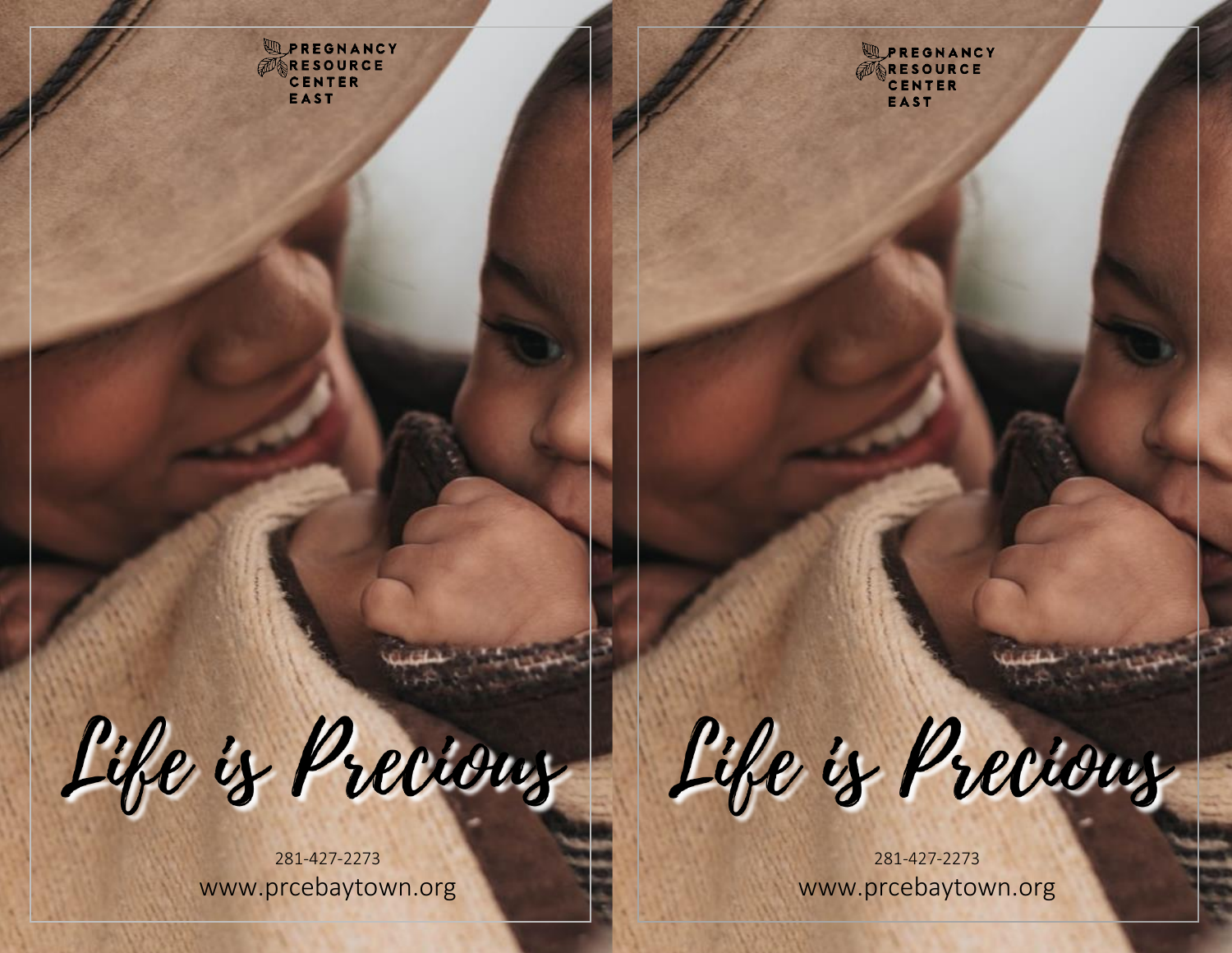UPREGNANCY ERESOURCE EAST

**SEREGRANCY**<br> **EXPRESOURCE**<br>
CENTER **EAST** 

Life is Precious

281 -427 -2273 www.prcebaytown.org

Life is Precious

281 -427 -2273 www.prcebaytown.org